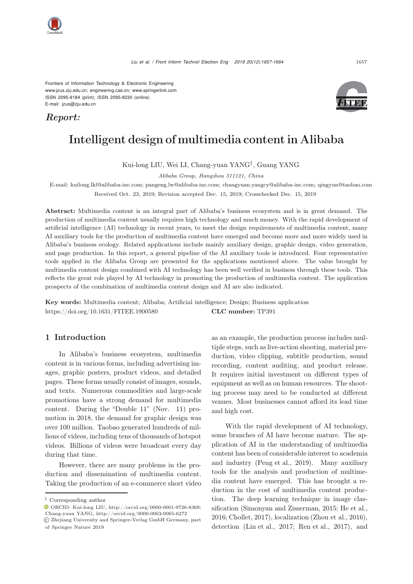*Liu et al. / Front Inform Technol Electron Eng 2019 20(12):1657-1664* <sup>1657</sup>



Frontiers of Information Technology & Electronic Engineering [www.jzus.zju.edu.cn;](www.jzus.zju.edu.cn) [engineering.cae.cn;](engineering.cae.cn)<www.springerlink.com> ISSN 2095-9184 (print); ISSN 2095-9230 (online) E-mail: jzus@zju.edu.cn

*Report:*



# Intelligent design of multimedia content in Alibaba

### Kui-long LIU, Wei LI, Chang-yuan YANG*‡*, Guang YANG

*Alibaba Group, Hangzhou 311121, China*

E-mail: kuilong.lkl@alibaba-inc.com; pangeng.lw@alibaba-inc.com; changyuan.yangcy@alibaba-inc.com; qingyun@taobao.com Received Oct. 23, 2019; Revision accepted Dec. 15, 2019; Crosschecked Dec. 15, 2019

Abstract: Multimedia content is an integral part of Alibaba's business ecosystem and is in great demand. The production of multimedia content usually requires high technology and much money. With the rapid development of artificial intelligence (AI) technology in recent years, to meet the design requirements of multimedia content, many AI auxiliary tools for the production of multimedia content have emerged and become more and more widely used in Alibaba's business ecology. Related applications include mainly auxiliary design, graphic design, video generation, and page production. In this report, a general pipeline of the AI auxiliary tools is introduced. Four representative tools applied in the Alibaba Group are presented for the applications mentioned above. The value brought by multimedia content design combined with AI technology has been well verified in business through these tools. This reflects the great role played by AI technology in promoting the production of multimedia content. The application prospects of the combination of multimedia content design and AI are also indicated.

Key words: Multimedia content; Alibaba; Artificial intelligence; Design; Business application https://doi.org/10.1631/FITEE.1900580 CLC number: TP391

# 1 Introduction

In Alibaba's business ecosystem, multimedia content is in various forms, including advertising images, graphic posters, product videos, and detailed pages. These forms usually consist of images, sounds, and texts. Numerous commodities and large-scale promotions have a strong demand for multimedia content. During the "Double 11" (Nov. 11) promotion in 2018, the demand for graphic design was over 100 million. Taobao generated hundreds of millions of videos, including tens of thousands of hotspot videos. Billions of videos were broadcast every day during that time.

However, there are many problems in the production and dissemination of multimedia content. Taking the production of an e-commerce short video as an example, the production process includes multiple steps, such as live-action shooting, material production, video clipping, subtitle production, sound recording, content auditing, and product release. It requires initial investment on different types of equipment as well as on human resources. The shooting process may need to be conducted at different venues. Most businesses cannot afford its lead time and high cost.

With the rapid development of AI technology, some branches of AI have become mature. The application of AI in the understanding of multimedia content has been of considerable interest to academia and industry [\(Peng et al., 2019\)](#page-7-0). Many auxiliary tools for the analysis and production of multimedia content have emerged. This has brought a reduction in the cost of multimedia content production. The deep learning technique in image classification [\(Simonyan and Zisserman](#page-7-1), [2015;](#page-7-1) [He et al.](#page-7-2), [2016](#page-7-2); [Chollet, 2017\)](#page-7-3), localization [\(Zhou et al.](#page-7-4), [2016\)](#page-7-4), detection [\(Lin et al., 2017](#page-7-5); [Ren et al., 2017](#page-7-6)), and

*<sup>‡</sup>* Corresponding author

ORCID: Kui-long LIU, http://orcid.org/0000-0001-9726-8369; Chang-yuan YANG, http://orcid.org/0000-0003-0065-6272

<sup>-</sup>c Zhejiang University and Springer-Verlag GmbH Germany, part of Springer Nature 2019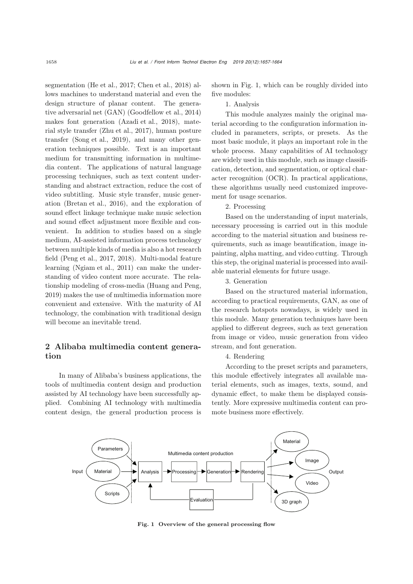segmentation [\(He et al.](#page-7-7), [2017;](#page-7-7) [Chen et al., 2018\)](#page-7-8) allows machines to understand material and even the design structure of planar content. The generative adversarial net (GAN) [\(Goodfellow et al., 2014\)](#page-7-9) makes font generation [\(Azadi et al., 2018\)](#page-7-10), material style transfer [\(Zhu et al., 2017\)](#page-7-11), human posture transfer [\(Song et al., 2019\)](#page-7-12), and many other generation techniques possible. Text is an important medium for transmitting information in multimedia content. The applications of natural language processing techniques, such as text content understanding and abstract extraction, reduce the cost of video subtitling. Music style transfer, music generation [\(Bretan et al.](#page-7-13), [2016\)](#page-7-13), and the exploration of sound effect linkage technique make music selection and sound effect adjustment more flexible and convenient. In addition to studies based on a single medium, AI-assisted information process technology between multiple kinds of media is also a hot research field [\(Peng et al.](#page-7-14), [2017,](#page-7-14) [2018\)](#page-7-15). Multi-modal feature learning [\(Ngiam et al., 2011\)](#page-7-16) can make the understanding of video content more accurate. The relationship modeling of cross-media [\(Huang and Peng](#page-7-17), [2019](#page-7-17)) makes the use of multimedia information more convenient and extensive. With the maturity of AI technology, the combination with traditional design will become an inevitable trend.

# 2 Alibaba multimedia content generation

In many of Alibaba's business applications, the tools of multimedia content design and production assisted by AI technology have been successfully applied. Combining AI technology with multimedia content design, the general production process is

shown in Fig. [1,](#page-1-0) which can be roughly divided into five modules:

### 1. Analysis

This module analyzes mainly the original material according to the configuration information included in parameters, scripts, or presets. As the most basic module, it plays an important role in the whole process. Many capabilities of AI technology are widely used in this module, such as image classification, detection, and segmentation, or optical character recognition (OCR). In practical applications, these algorithms usually need customized improvement for usage scenarios.

### 2. Processing

Based on the understanding of input materials, necessary processing is carried out in this module according to the material situation and business requirements, such as image beautification, image inpainting, alpha matting, and video cutting. Through this step, the original material is processed into available material elements for future usage.

### 3. Generation

Based on the structured material information, according to practical requirements, GAN, as one of the research hotspots nowadays, is widely used in this module. Many generation techniques have been applied to different degrees, such as text generation from image or video, music generation from video stream, and font generation.

### 4. Rendering

According to the preset scripts and parameters, this module effectively integrates all available material elements, such as images, texts, sound, and dynamic effect, to make them be displayed consistently. More expressive multimedia content can promote business more effectively.



<span id="page-1-0"></span>Fig. 1 Overview of the general processing flow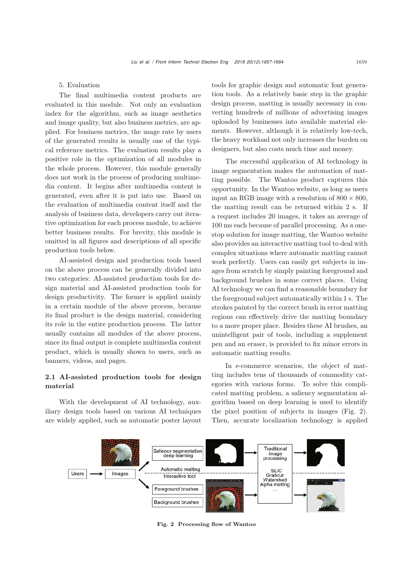### 5. Evaluation

The final multimedia content products are evaluated in this module. Not only an evaluation index for the algorithm, such as image aesthetics and image quality, but also business metrics, are applied. For business metrics, the usage rate by users of the generated results is usually one of the typical reference metrics. The evaluation results play a positive role in the optimization of all modules in the whole process. However, this module generally does not work in the process of producing multimedia content. It begins after multimedia content is generated, even after it is put into use. Based on the evaluation of multimedia content itself and the analysis of business data, developers carry out iterative optimization for each process module, to achieve better business results. For brevity, this module is omitted in all figures and descriptions of all specific production tools below.

AI-assisted design and production tools based on the above process can be generally divided into two categories: AI-assisted production tools for design material and AI-assisted production tools for design productivity. The former is applied mainly in a certain module of the above process, because its final product is the design material, considering its role in the entire production process. The latter usually contains all modules of the above process, since its final output is complete multimedia content product, which is usually shown to users, such as banners, videos, and pages.

# 2.1 AI-assisted production tools for design material

With the development of AI technology, auxiliary design tools based on various AI techniques are widely applied, such as automatic poster layout tools for graphic design and automatic font generation tools. As a relatively basic step in the graphic design process, matting is usually necessary in converting hundreds of millions of advertising images uploaded by businesses into available material elements. However, although it is relatively low-tech, the heavy workload not only increases the burden on designers, but also costs much time and money.

The successful application of AI technology in image segmentation makes the automation of matting possible. The Wantoo product captures this opportunity. In the Wantoo website, as long as users input an RGB image with a resolution of  $800 \times 800$ , the matting result can be returned within 2 s. If a request includes 20 images, it takes an average of 100 ms each because of parallel processing. As a onestop solution for image matting, the Wantoo website also provides an interactive matting tool to deal with complex situations where automatic matting cannot work perfectly. Users can easily get subjects in images from scratch by simply painting foreground and background brushes in some correct places. Using AI technology we can find a reasonable boundary for the foreground subject automatically within 1 s. The strokes painted by the correct brush in error matting regions can effectively drive the matting boundary to a more proper place. Besides these AI brushes, an unintelligent pair of tools, including a supplement pen and an eraser, is provided to fix minor errors in automatic matting results.

In e-commerce scenarios, the object of matting includes tens of thousands of commodity categories with various forms. To solve this complicated matting problem, a saliency segmentation algorithm based on deep learning is used to identify the pixel position of subjects in images (Fig. [2\)](#page-2-0). Then, accurate localization technology is applied



<span id="page-2-0"></span>Fig. 2 Processing flow of Wantoo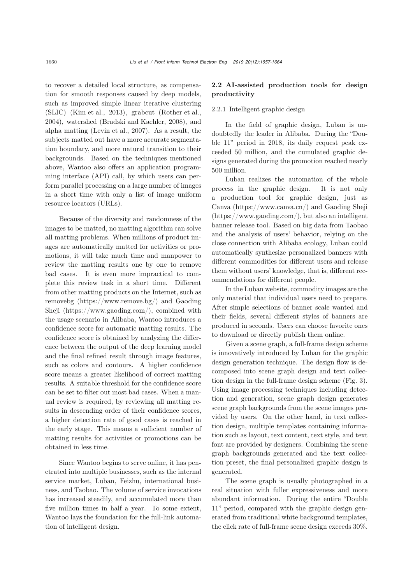to recover a detailed local structure, as compensation for smooth responses caused by deep models, such as improved simple linear iterative clustering (SLIC) [\(Kim et al., 2013\)](#page-7-18), grabcut [\(Rother et al.](#page-7-19), [2004](#page-7-19)), watershed [\(Bradski and Kaehler, 2008\)](#page-7-20), and alpha matting [\(Levin et al.](#page-7-21), [2007\)](#page-7-21). As a result, the subjects matted out have a more accurate segmentation boundary, and more natural transition to their backgrounds. Based on the techniques mentioned above, Wantoo also offers an application programming interface (API) call, by which users can perform parallel processing on a large number of images in a short time with only a list of image uniform resource locators (URLs).

Because of the diversity and randomness of the images to be matted, no matting algorithm can solve all matting problems. When millions of product images are automatically matted for activities or promotions, it will take much time and manpower to review the matting results one by one to remove bad cases. It is even more impractical to complete this review task in a short time. Different from other matting products on the Internet, such as removebg (https://www.remove.bg/) and Gaoding Sheji (https://www.gaoding.com/), combined with the usage scenario in Alibaba, Wantoo introduces a confidence score for automatic matting results. The confidence score is obtained by analyzing the difference between the output of the deep learning model and the final refined result through image features, such as colors and contours. A higher confidence score means a greater likelihood of correct matting results. A suitable threshold for the confidence score can be set to filter out most bad cases. When a manual review is required, by reviewing all matting results in descending order of their confidence scores, a higher detection rate of good cases is reached in the early stage. This means a sufficient number of matting results for activities or promotions can be obtained in less time.

Since Wantoo begins to serve online, it has penetrated into multiple businesses, such as the internal service market, Luban, Feizhu, international business, and Taobao. The volume of service invocations has increased steadily, and accumulated more than five million times in half a year. To some extent, Wantoo lays the foundation for the full-link automation of intelligent design.

# 2.2 AI-assisted production tools for design productivity

### 2.2.1 Intelligent graphic design

In the field of graphic design, Luban is undoubtedly the leader in Alibaba. During the "Double 11" period in 2018, its daily request peak exceeded 50 million, and the cumulated graphic designs generated during the promotion reached nearly 500 million.

Luban realizes the automation of the whole process in the graphic design. It is not only a production tool for graphic design, just as Canva (https://www.canva.cn/) and Gaoding Sheji (https://www.gaoding.com/), but also an intelligent banner release tool. Based on big data from Taobao and the analysis of users' behavior, relying on the close connection with Alibaba ecology, Luban could automatically synthesize personalized banners with different commodities for different users and release them without users' knowledge, that is, different recommendations for different people.

In the Luban website, commodity images are the only material that individual users need to prepare. After simple selections of banner scale wanted and their fields, several different styles of banners are produced in seconds. Users can choose favorite ones to download or directly publish them online.

Given a scene graph, a full-frame design scheme is innovatively introduced by Luban for the graphic design generation technique. The design flow is decomposed into scene graph design and text collection design in the full-frame design scheme (Fig. [3\)](#page-4-0). Using image processing techniques including detection and generation, scene graph design generates scene graph backgrounds from the scene images provided by users. On the other hand, in text collection design, multiple templates containing information such as layout, text content, text style, and text font are provided by designers. Combining the scene graph backgrounds generated and the text collection preset, the final personalized graphic design is generated.

The scene graph is usually photographed in a real situation with fuller expressiveness and more abundant information. During the entire "Double 11" period, compared with the graphic design generated from traditional white background templates, the click rate of full-frame scene design exceeds 30%.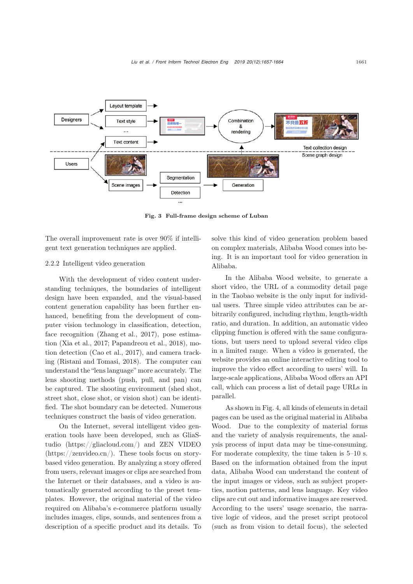

<span id="page-4-0"></span>Fig. 3 Full-frame design scheme of Luban

The overall improvement rate is over 90% if intelligent text generation techniques are applied.

### 2.2.2 Intelligent video generation

With the development of video content understanding techniques, the boundaries of intelligent design have been expanded, and the visual-based content generation capability has been further enhanced, benefiting from the development of computer vision technology in classification, detection, face recognition [\(Zhang et al.](#page-7-22), [2017\)](#page-7-22), pose estimation [\(Xia et al.](#page-7-23), [2017;](#page-7-23) [Papandreou et al., 2018\)](#page-7-24), motion detection [\(Cao et al., 2017\)](#page-7-25), and camera tracking [\(Ristani and Tomasi, 2018\)](#page-7-26). The computer can understand the "lens language" more accurately. The lens shooting methods (push, pull, and pan) can be captured. The shooting environment (shed shot, street shot, close shot, or vision shot) can be identified. The shot boundary can be detected. Numerous techniques construct the basis of video generation.

On the Internet, several intelligent video generation tools have been developed, such as GliaStudio (https://gliacloud.com/) and ZEN VIDEO (https://zenvideo.cn/). These tools focus on storybased video generation. By analyzing a story offered from users, relevant images or clips are searched from the Internet or their databases, and a video is automatically generated according to the preset templates. However, the original material of the video required on Alibaba's e-commerce platform usually includes images, clips, sounds, and sentences from a description of a specific product and its details. To solve this kind of video generation problem based on complex materials, Alibaba Wood comes into being. It is an important tool for video generation in Alibaba.

In the Alibaba Wood website, to generate a short video, the URL of a commodity detail page in the Taobao website is the only input for individual users. Three simple video attributes can be arbitrarily configured, including rhythm, length-width ratio, and duration. In addition, an automatic video clipping function is offered with the same configurations, but users need to upload several video clips in a limited range. When a video is generated, the website provides an online interactive editing tool to improve the video effect according to users' will. In large-scale applications, Alibaba Wood offers an API call, which can process a list of detail page URLs in parallel.

As shown in Fig. [4,](#page-5-0) all kinds of elements in detail pages can be used as the original material in Alibaba Wood. Due to the complexity of material forms and the variety of analysis requirements, the analysis process of input data may be time-consuming. For moderate complexity, the time taken is 5–10 s. Based on the information obtained from the input data, Alibaba Wood can understand the content of the input images or videos, such as subject properties, motion patterns, and lens language. Key video clips are cut out and informative images are reserved. According to the users' usage scenario, the narrative logic of videos, and the preset script protocol (such as from vision to detail focus), the selected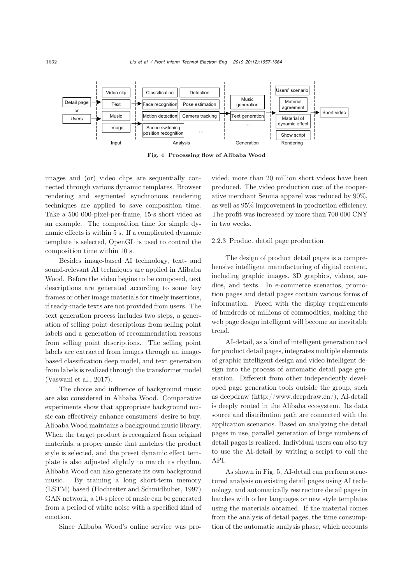

<span id="page-5-0"></span>Fig. 4 Processing flow of Alibaba Wood

images and (or) video clips are sequentially connected through various dynamic templates. Browser rendering and segmented synchronous rendering techniques are applied to save composition time. Take a 500 000-pixel-per-frame, 15-s short video as an example. The composition time for simple dynamic effects is within 5 s. If a complicated dynamic template is selected, OpenGL is used to control the composition time within 10 s.

Besides image-based AI technology, text- and sound-relevant AI techniques are applied in Alibaba Wood. Before the video begins to be composed, text descriptions are generated according to some key frames or other image materials for timely insertions, if ready-made texts are not provided from users. The text generation process includes two steps, a generation of selling point descriptions from selling point labels and a generation of recommendation reasons from selling point descriptions. The selling point labels are extracted from images through an imagebased classification deep model, and text generation from labels is realized through the transformer model [\(Vaswani et al., 2017\)](#page-7-27).

The choice and influence of background music are also considered in Alibaba Wood. Comparative experiments show that appropriate background music can effectively enhance consumers' desire to buy. Alibaba Wood maintains a background music library. When the target product is recognized from original materials, a proper music that matches the product style is selected, and the preset dynamic effect template is also adjusted slightly to match its rhythm. Alibaba Wood can also generate its own background music. By training a long short-term memory (LSTM) based [\(Hochreiter and Schmidhuber](#page-7-28), [1997\)](#page-7-28) GAN network, a 10-s piece of music can be generated from a period of white noise with a specified kind of emotion.

Since Alibaba Wood's online service was pro-

vided, more than 20 million short videos have been produced. The video production cost of the cooperative merchant Senma apparel was reduced by 90%, as well as 95% improvement in production efficiency. The profit was increased by more than 700 000 CNY in two weeks.

#### 2.2.3 Product detail page production

The design of product detail pages is a comprehensive intelligent manufacturing of digital content, including graphic images, 3D graphics, videos, audios, and texts. In e-commerce scenarios, promotion pages and detail pages contain various forms of information. Faced with the display requirements of hundreds of millions of commodities, making the web page design intelligent will become an inevitable trend.

AI-detail, as a kind of intelligent generation tool for product detail pages, integrates multiple elements of graphic intelligent design and video intelligent design into the process of automatic detail page generation. Different from other independently developed page generation tools outside the group, such as deepdraw (http://www.deepdraw.cn/), AI-detail is deeply rooted in the Alibaba ecosystem. Its data source and distribution path are connected with the application scenarios. Based on analyzing the detail pages in use, parallel generation of large numbers of detail pages is realized. Individual users can also try to use the AI-detail by writing a script to call the API.

As shown in Fig. [5,](#page-6-0) AI-detail can perform structured analysis on existing detail pages using AI technology, and automatically restructure detail pages in batches with other languages or new style templates using the materials obtained. If the material comes from the analysis of detail pages, the time consumption of the automatic analysis phase, which accounts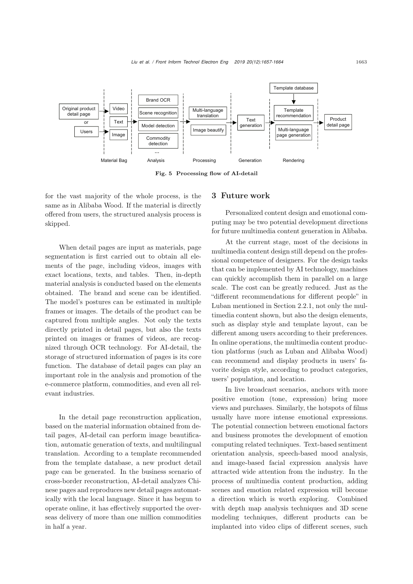

<span id="page-6-0"></span>Fig. 5 Processing flow of AI-detail

for the vast majority of the whole process, is the same as in Alibaba Wood. If the material is directly offered from users, the structured analysis process is skipped.

When detail pages are input as materials, page segmentation is first carried out to obtain all elements of the page, including videos, images with exact locations, texts, and tables. Then, in-depth material analysis is conducted based on the elements obtained. The brand and scene can be identified. The model's postures can be estimated in multiple frames or images. The details of the product can be captured from multiple angles. Not only the texts directly printed in detail pages, but also the texts printed on images or frames of videos, are recognized through OCR technology. For AI-detail, the storage of structured information of pages is its core function. The database of detail pages can play an important role in the analysis and promotion of the e-commerce platform, commodities, and even all relevant industries.

In the detail page reconstruction application, based on the material information obtained from detail pages, AI-detail can perform image beautification, automatic generation of texts, and multilingual translation. According to a template recommended from the template database, a new product detail page can be generated. In the business scenario of cross-border reconstruction, AI-detail analyzes Chinese pages and reproduces new detail pages automatically with the local language. Since it has begun to operate online, it has effectively supported the overseas delivery of more than one million commodities in half a year.

### 3 Future work

Personalized content design and emotional computing may be two potential development directions for future multimedia content generation in Alibaba.

At the current stage, most of the decisions in multimedia content design still depend on the professional competence of designers. For the design tasks that can be implemented by AI technology, machines can quickly accomplish them in parallel on a large scale. The cost can be greatly reduced. Just as the "different recommendations for different people" in Luban mentioned in Section 2*.*2*.*1, not only the multimedia content shown, but also the design elements, such as display style and template layout, can be different among users according to their preferences. In online operations, the multimedia content production platforms (such as Luban and Alibaba Wood) can recommend and display products in users' favorite design style, according to product categories, users' population, and location.

In live broadcast scenarios, anchors with more positive emotion (tone, expression) bring more views and purchases. Similarly, the hotspots of films usually have more intense emotional expressions. The potential connection between emotional factors and business promotes the development of emotion computing related techniques. Text-based sentiment orientation analysis, speech-based mood analysis, and image-based facial expression analysis have attracted wide attention from the industry. In the process of multimedia content production, adding scenes and emotion related expression will become a direction which is worth exploring. Combined with depth map analysis techniques and 3D scene modeling techniques, different products can be implanted into video clips of different scenes, such